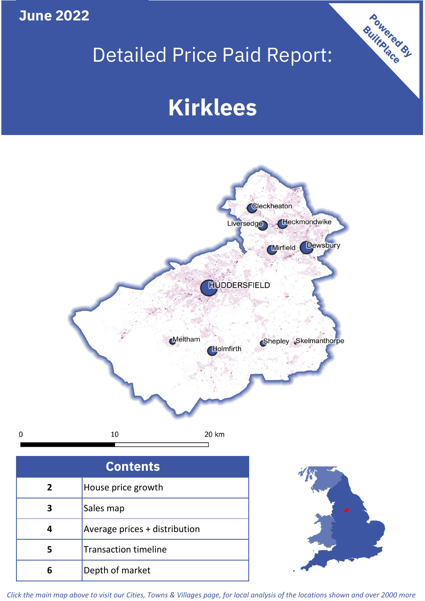**June 2022**

 $\mathbf 0$ 

## Detailed Price Paid Report:

# **Kirklees**



| <b>Contents</b> |                               |  |  |
|-----------------|-------------------------------|--|--|
| $\overline{2}$  | House price growth            |  |  |
| 3               | Sales map                     |  |  |
|                 | Average prices + distribution |  |  |
| 5               | <b>Transaction timeline</b>   |  |  |
|                 | Depth of market               |  |  |



Powered By

*Click the main map above to visit our Cities, Towns & Villages page, for local analysis of the locations shown and over 2000 more*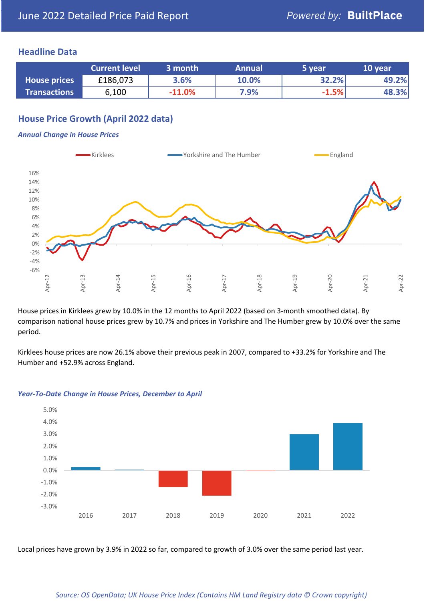### **Headline Data**

|                     | <b>Current level</b> | 3 month<br><b>Annual</b> |       | 5 year  | 10 year |  |
|---------------------|----------------------|--------------------------|-------|---------|---------|--|
| <b>House prices</b> | £186,073             | 3.6%                     | 10.0% | 32.2%   | 49.2%   |  |
| <b>Transactions</b> | 6,100                | $-11.0%$                 | 7.9%  | $-1.5%$ | 48.3%   |  |

## **House Price Growth (April 2022 data)**

#### *Annual Change in House Prices*



House prices in Kirklees grew by 10.0% in the 12 months to April 2022 (based on 3-month smoothed data). By comparison national house prices grew by 10.7% and prices in Yorkshire and The Humber grew by 10.0% over the same period.

Kirklees house prices are now 26.1% above their previous peak in 2007, compared to +33.2% for Yorkshire and The Humber and +52.9% across England.



#### *Year-To-Date Change in House Prices, December to April*

Local prices have grown by 3.9% in 2022 so far, compared to growth of 3.0% over the same period last year.

#### *Source: OS OpenData; UK House Price Index (Contains HM Land Registry data © Crown copyright)*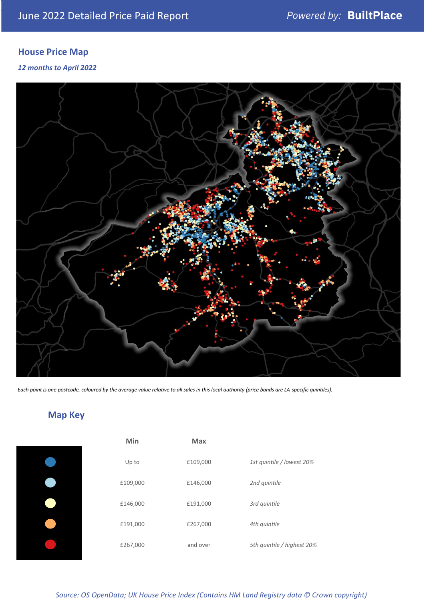## **House Price Map**

#### *12 months to April 2022*



*Each point is one postcode, coloured by the average value relative to all sales in this local authority (price bands are LA-specific quintiles).*

## **Map Key**

|  | Min      | <b>Max</b> |              |
|--|----------|------------|--------------|
|  | Up to    | £109,000   | 1st quintile |
|  | £109,000 | £146,000   | 2nd quintile |
|  | £146,000 | £191,000   | 3rd quintile |
|  | £191,000 | £267,000   | 4th quintile |
|  | £267,000 | and over   | 5th quintile |
|  |          |            |              |

*Source: OS OpenData; UK House Price Index (Contains HM Land Registry data © Crown copyright)*

0% Up to £109,000 *1st quintile / lowest 20%*

5th quintile / highest 20%

2nd quintile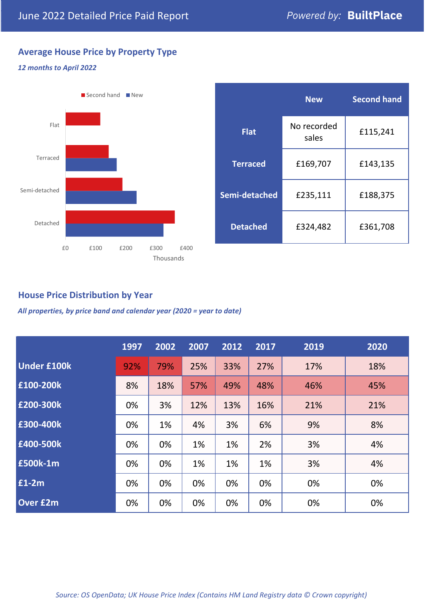## **Average House Price by Property Type**

#### *12 months to April 2022*



|                 | <b>New</b>           | <b>Second hand</b> |  |  |
|-----------------|----------------------|--------------------|--|--|
| <b>Flat</b>     | No recorded<br>sales | £115,241           |  |  |
| <b>Terraced</b> | £169,707             | £143,135           |  |  |
| Semi-detached   | £235,111             | £188,375           |  |  |
| <b>Detached</b> | £324,482             | £361,708           |  |  |

## **House Price Distribution by Year**

*All properties, by price band and calendar year (2020 = year to date)*

|                    | 1997 | 2002 | 2007 | 2012 | 2017 | 2019 | 2020 |
|--------------------|------|------|------|------|------|------|------|
| <b>Under £100k</b> | 92%  | 79%  | 25%  | 33%  | 27%  | 17%  | 18%  |
| £100-200k          | 8%   | 18%  | 57%  | 49%  | 48%  | 46%  | 45%  |
| £200-300k          | 0%   | 3%   | 12%  | 13%  | 16%  | 21%  | 21%  |
| £300-400k          | 0%   | 1%   | 4%   | 3%   | 6%   | 9%   | 8%   |
| £400-500k          | 0%   | 0%   | 1%   | 1%   | 2%   | 3%   | 4%   |
| £500k-1m           | 0%   | 0%   | 1%   | 1%   | 1%   | 3%   | 4%   |
| £1-2m              | 0%   | 0%   | 0%   | 0%   | 0%   | 0%   | 0%   |
| <b>Over £2m</b>    | 0%   | 0%   | 0%   | 0%   | 0%   | 0%   | 0%   |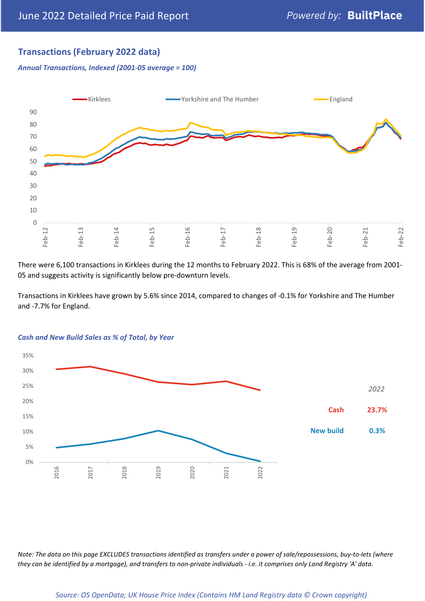## **Transactions (February 2022 data)**

*Annual Transactions, Indexed (2001-05 average = 100)*



There were 6,100 transactions in Kirklees during the 12 months to February 2022. This is 68% of the average from 2001- 05 and suggests activity is significantly below pre-downturn levels.

Transactions in Kirklees have grown by 5.6% since 2014, compared to changes of -0.1% for Yorkshire and The Humber and -7.7% for England.



#### *Cash and New Build Sales as % of Total, by Year*

*Note: The data on this page EXCLUDES transactions identified as transfers under a power of sale/repossessions, buy-to-lets (where they can be identified by a mortgage), and transfers to non-private individuals - i.e. it comprises only Land Registry 'A' data.*